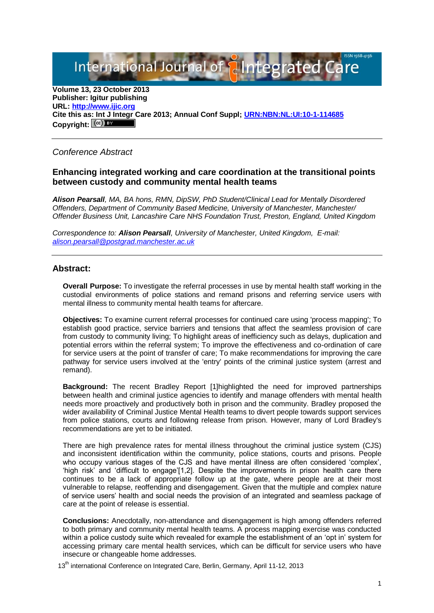International Journal of aIntegrated

**Volume 13, 23 October 2013 Publisher: Igitur publishing URL[: http://www.ijic.org](http://www.ijic.org/) Cite this as: Int J Integr Care 2013; Annual Conf Suppl; [URN:NBN:NL:UI:10-1-114685](http://persistent-identifier.nl/?identifier=URN:NBN:NL:UI:10-1-114685)** Copyright:  $(cc)$  **E**Y

# *Conference Abstract*

## **Enhancing integrated working and care coordination at the transitional points between custody and community mental health teams**

*Alison Pearsall, MA, BA hons, RMN, DipSW, PhD Student/Clinical Lead for Mentally Disordered Offenders, Department of Community Based Medicine, University of Manchester, Manchester/ Offender Business Unit, Lancashire Care NHS Foundation Trust, Preston, England, United Kingdom*

*Correspondence to: Alison Pearsall, University of Manchester, United Kingdom, E-mail: [alison.pearsall@postgrad.manchester.ac.uk](mailto:alison.pearsall@postgrad.manchester.ac.uk)*

### **Abstract:**

**Overall Purpose:** To investigate the referral processes in use by mental health staff working in the custodial environments of police stations and remand prisons and referring service users with mental illness to community mental health teams for aftercare.

**Objectives:** To examine current referral processes for continued care using 'process mapping'; To establish good practice, service barriers and tensions that affect the seamless provision of care from custody to community living; To highlight areas of inefficiency such as delays, duplication and potential errors within the referral system; To improve the effectiveness and co-ordination of care for service users at the point of transfer of care; To make recommendations for improving the care pathway for service users involved at the 'entry' points of the criminal justice system (arrest and remand).

**Background:** The recent Bradley Report [1]highlighted the need for improved partnerships between health and criminal justice agencies to identify and manage offenders with mental health needs more proactively and productively both in prison and the community. Bradley proposed the wider availability of Criminal Justice Mental Health teams to divert people towards support services from police stations, courts and following release from prison. However, many of Lord Bradley's recommendations are yet to be initiated.

There are high prevalence rates for mental illness throughout the criminal justice system (CJS) and inconsistent identification within the community, police stations, courts and prisons. People who occupy various stages of the CJS and have mental illness are often considered 'complex', 'high risk' and 'difficult to engage'[1,2]. Despite the improvements in prison health care there continues to be a lack of appropriate follow up at the gate, where people are at their most vulnerable to relapse, reoffending and disengagement. Given that the multiple and complex nature of service users' health and social needs the provision of an integrated and seamless package of care at the point of release is essential.

**Conclusions:** Anecdotally, non-attendance and disengagement is high among offenders referred to both primary and community mental health teams. A process mapping exercise was conducted within a police custody suite which revealed for example the establishment of an 'opt in' system for accessing primary care mental health services, which can be difficult for service users who have insecure or changeable home addresses.

13<sup>th</sup> international Conference on Integrated Care, Berlin, Germany, April 11-12, 2013